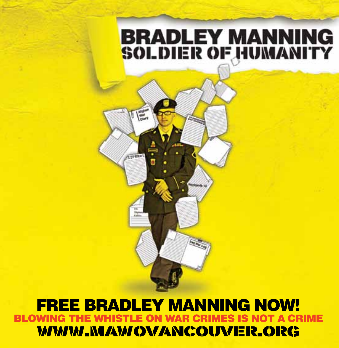## **BRADLEY MANNING SOLDIER OF HUMANITY**

### free bradley manning now! JOT A CRIMF www.mawovancouver.org

 $\frac{1}{2}$ 

**ATPRNe**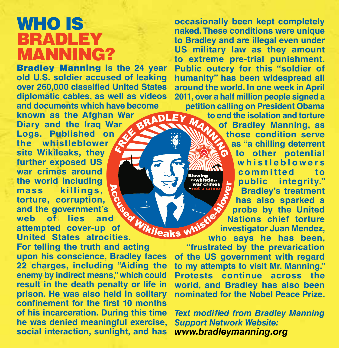### who is **BRADLEY MANNING?**

Bradley Manning **is the 24 year old U.S. soldier accused of leaking over 260,000 classified United States diplomatic cables, as well as videos and documents which have become known as the Afghan War Diary and the Iraq War Logs. Published on the whistleblower site Wikileaks, they further exposed US**  war crimes around<br>the world including<br>mass killings,<br>torture, corruption,<br>and the government's<br>of lies and<br>wer-up of the same with the aks with **the world including mass killings, torture, corruption, and the government's web of lies and attempted cover-up of United States atrocities.** 

**For telling the truth and acting upon his conscience, Bradley faces 22 charges, including "Aiding the enemy by indirect means," which could result in the death penalty or life in prison. He was also held in solitary confinement for the first 10 months of his incarceration. During this time he was denied meaningful exercise, social interaction, sunlight, and has** 

**occasionally been kept completely naked. These conditions were unique to Bradley and are illegal even under US military law as they amount to extreme pre-trial punishment. Public outcry for this "soldier of humanity" has been widespread all around the world. In one week in April 2011, over a half million people signed a petition calling on President Obama** 

> **to end the isolation and torture of Bradley Manning, as those condition serve as "a chilling deterrent to other potential w h i s t l e b l o w e r s committed** to **public integrity." Bradley's treatment has also sparked a probe by the United Nations chief torture investigator Juan Mendez, who says he has been,**

**"frustrated by the prevarication of the US government with regard to my attempts to visit Mr. Manning." Protests continue across the world, and Bradley has also been nominated for the Nobel Peace Prize.**

*Text modified from Bradley Manning Support Network Website: www.bradleymanning.org*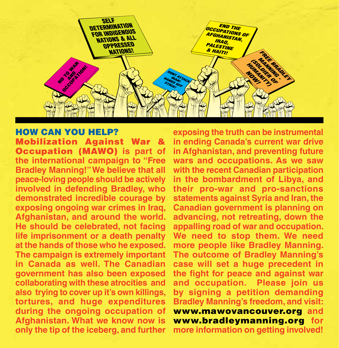

#### How Can You Help?

Mobilization Against War & **Occupation (MAWO)** is part of **the international campaign to "Free Bradley Manning!" We believe that all peace-loving people should be actively involved in defending Bradley, who demonstrated incredible courage by exposing ongoing war crimes in Iraq, Afghanistan, and around the world. He should be celebrated, not facing life imprisonment or a death penalty at the hands of those who he exposed. The campaign is extremely important in Canada as well. The Canadian government has also been exposed collaborating with these atrocities and also trying to cover up it's own killings, tortures, and huge expenditures during the ongoing occupation of Afghanistan. What we know now is only the tip of the iceberg, and further** 

**exposing the truth can be instrumental in ending Canada's current war drive in Afghanistan, and preventing future wars and occupations. As we saw with the recent Canadian participation in the bombardment of Libya, and their pro-war and pro-sanctions statements against Syria and Iran, the Canadian government is planning on advancing, not retreating, down the appalling road of war and occupation. We need to stop them. We need more people like Bradley Manning. The outcome of Bradley Manning's case will set a huge precedent in the fight for peace and against war and occupation. Please join us by signing a petition demanding Bradley Manning's freedom, and visit:**  www.mawovancouver.org **and**  www.bradleymanning.org **for more information on getting involved!**